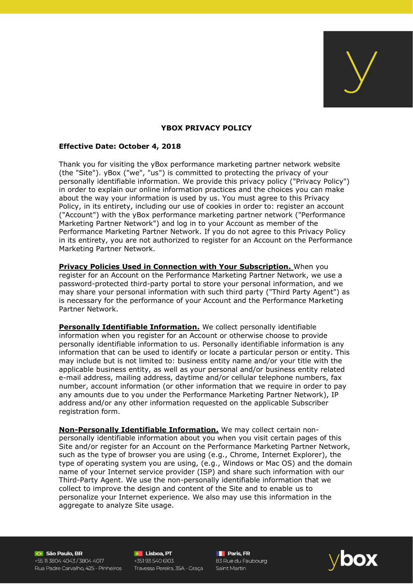

## **YBOX PRIVACY POLICY**

## **Effective Date: October 4, 2018**

Thank you for visiting the yBox performance marketing partner network website (the "Site"). yBox ("we", "us") is committed to protecting the privacy of your personally identifiable information. We provide this privacy policy ("Privacy Policy") in order to explain our online information practices and the choices you can make about the way your information is used by us. You must agree to this Privacy Policy, in its entirety, including our use of cookies in order to: register an account ("Account") with the yBox performance marketing partner network ("Performance Marketing Partner Network") and log in to your Account as member of the Performance Marketing Partner Network. If you do not agree to this Privacy Policy in its entirety, you are not authorized to register for an Account on the Performance Marketing Partner Network.

**Privacy Policies Used in Connection with Your Subscription.** When you register for an Account on the Performance Marketing Partner Network, we use a password-protected third-party portal to store your personal information, and we may share your personal information with such third party ("Third Party Agent") as is necessary for the performance of your Account and the Performance Marketing Partner Network.

**Personally Identifiable Information.** We collect personally identifiable information when you register for an Account or otherwise choose to provide personally identifiable information to us. Personally identifiable information is any information that can be used to identify or locate a particular person or entity. This may include but is not limited to: business entity name and/or your title with the applicable business entity, as well as your personal and/or business entity related e-mail address, mailing address, daytime and/or cellular telephone numbers, fax number, account information (or other information that we require in order to pay any amounts due to you under the Performance Marketing Partner Network), IP address and/or any other information requested on the applicable Subscriber registration form.

**Non-Personally Identifiable Information.** We may collect certain nonpersonally identifiable information about you when you visit certain pages of this Site and/or register for an Account on the Performance Marketing Partner Network, such as the type of browser you are using (e.g., Chrome, Internet Explorer), the type of operating system you are using, (e.g., Windows or Mac OS) and the domain name of your Internet service provider (ISP) and share such information with our Third-Party Agent. We use the non-personally identifiable information that we collect to improve the design and content of the Site and to enable us to personalize your Internet experience. We also may use this information in the aggregate to analyze Site usage.

São Paulo, BR +55 11 3804 4043 / 3804 4017 Rua Padre Carvalho, 425 - Pinheiros Travessa Pereira, 35A - Graça

**C** Lisboa, PT **C Lisboa, PT**<br>+351 93 540 6103

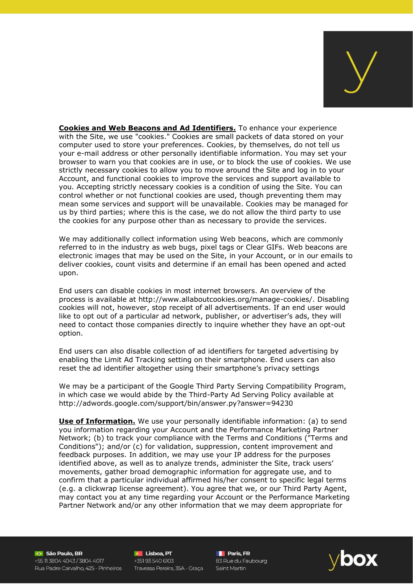**Cookies and Web Beacons and Ad Identifiers.** To enhance your experience with the Site, we use "cookies." Cookies are small packets of data stored on your computer used to store your preferences. Cookies, by themselves, do not tell us your e-mail address or other personally identifiable information. You may set your browser to warn you that cookies are in use, or to block the use of cookies. We use strictly necessary cookies to allow you to move around the Site and log in to your Account, and functional cookies to improve the services and support available to you. Accepting strictly necessary cookies is a condition of using the Site. You can control whether or not functional cookies are used, though preventing them may mean some services and support will be unavailable. Cookies may be managed for us by third parties; where this is the case, we do not allow the third party to use the cookies for any purpose other than as necessary to provide the services.

We may additionally collect information using Web beacons, which are commonly referred to in the industry as web bugs, pixel tags or Clear GIFs. Web beacons are electronic images that may be used on the Site, in your Account, or in our emails to deliver cookies, count visits and determine if an email has been opened and acted upon.

End users can disable cookies in most internet browsers. An overview of the process is available at http://www.allaboutcookies.org/manage-cookies/. Disabling cookies will not, however, stop receipt of all advertisements. If an end user would like to opt out of a particular ad network, publisher, or advertiser's ads, they will need to contact those companies directly to inquire whether they have an opt-out option.

End users can also disable collection of ad identifiers for targeted advertising by enabling the Limit Ad Tracking setting on their smartphone. End users can also reset the ad identifier altogether using their smartphone's privacy settings

We may be a participant of the Google Third Party Serving Compatibility Program, in which case we would abide by the Third-Party Ad Serving Policy available at http://adwords.google.com/support/bin/answer.py?answer=94230

**Use of Information.** We use your personally identifiable information: (a) to send you information regarding your Account and the Performance Marketing Partner Network; (b) to track your compliance with the Terms and Conditions ("Terms and Conditions"); and/or (c) for validation, suppression, content improvement and feedback purposes. In addition, we may use your IP address for the purposes identified above, as well as to analyze trends, administer the Site, track users' movements, gather broad demographic information for aggregate use, and to confirm that a particular individual affirmed his/her consent to specific legal terms (e.g. a clickwrap license agreement). You agree that we, or our Third Party Agent, may contact you at any time regarding your Account or the Performance Marketing Partner Network and/or any other information that we may deem appropriate for

São Paulo, BR +55 11 3804 4043 / 3804 4017 Rua Padre Carvalho 425 - Pinheiros

**C** Lisboa, PT  $+35193540603$ Travessa Pereira, 35A - Graça

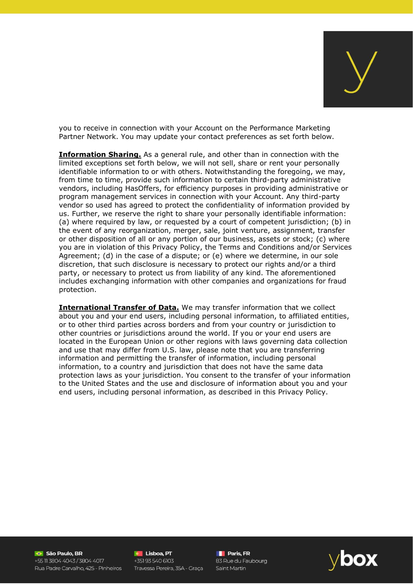

you to receive in connection with your Account on the Performance Marketing Partner Network. You may update your contact preferences as set forth below.

**Information Sharing.** As a general rule, and other than in connection with the limited exceptions set forth below, we will not sell, share or rent your personally identifiable information to or with others. Notwithstanding the foregoing, we may, from time to time, provide such information to certain third-party administrative vendors, including HasOffers, for efficiency purposes in providing administrative or program management services in connection with your Account. Any third-party vendor so used has agreed to protect the confidentiality of information provided by us. Further, we reserve the right to share your personally identifiable information: (a) where required by law, or requested by a court of competent jurisdiction; (b) in the event of any reorganization, merger, sale, joint venture, assignment, transfer or other disposition of all or any portion of our business, assets or stock; (c) where you are in violation of this Privacy Policy, the Terms and Conditions and/or Services Agreement; (d) in the case of a dispute; or (e) where we determine, in our sole discretion, that such disclosure is necessary to protect our rights and/or a third party, or necessary to protect us from liability of any kind. The aforementioned includes exchanging information with other companies and organizations for fraud protection.

**International Transfer of Data.** We may transfer information that we collect about you and your end users, including personal information, to affiliated entities, or to other third parties across borders and from your country or jurisdiction to other countries or jurisdictions around the world. If you or your end users are located in the European Union or other regions with laws governing data collection and use that may differ from U.S. law, please note that you are transferring information and permitting the transfer of information, including personal information, to a country and jurisdiction that does not have the same data protection laws as your jurisdiction. You consent to the transfer of your information to the United States and the use and disclosure of information about you and your end users, including personal information, as described in this Privacy Policy.

São Paulo, BR +55 11 3804 4043 / 3804 4017 Rua Padre Carvalho 425 - Pinheiros **C** Lisboa, PT +351 93 540 6103 Travessa Pereira, 35A - Graça

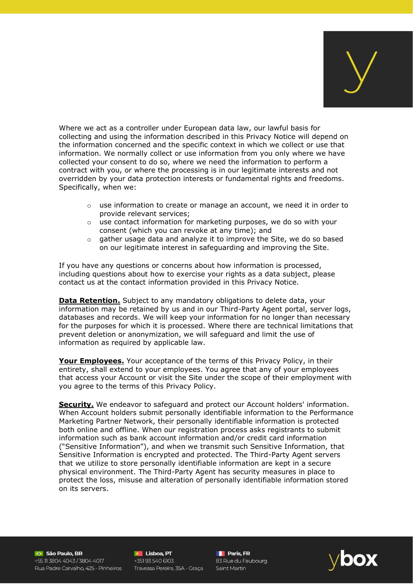

Where we act as a controller under European data law, our lawful basis for collecting and using the information described in this Privacy Notice will depend on the information concerned and the specific context in which we collect or use that information. We normally collect or use information from you only where we have collected your consent to do so, where we need the information to perform a contract with you, or where the processing is in our legitimate interests and not overridden by your data protection interests or fundamental rights and freedoms. Specifically, when we:

- $\circ$  use information to create or manage an account, we need it in order to provide relevant services;
- o use contact information for marketing purposes, we do so with your consent (which you can revoke at any time); and
- o gather usage data and analyze it to improve the Site, we do so based on our legitimate interest in safeguarding and improving the Site.

If you have any questions or concerns about how information is processed, including questions about how to exercise your rights as a data subject, please contact us at the contact information provided in this Privacy Notice.

**Data Retention.** Subject to any mandatory obligations to delete data, your information may be retained by us and in our Third-Party Agent portal, server logs, databases and records. We will keep your information for no longer than necessary for the purposes for which it is processed. Where there are technical limitations that prevent deletion or anonymization, we will safeguard and limit the use of information as required by applicable law.

**Your Employees.** Your acceptance of the terms of this Privacy Policy, in their entirety, shall extend to your employees. You agree that any of your employees that access your Account or visit the Site under the scope of their employment with you agree to the terms of this Privacy Policy.

**Security.** We endeavor to safeguard and protect our Account holders' information. When Account holders submit personally identifiable information to the Performance Marketing Partner Network, their personally identifiable information is protected both online and offline. When our registration process asks registrants to submit information such as bank account information and/or credit card information ("Sensitive Information"), and when we transmit such Sensitive Information, that Sensitive Information is encrypted and protected. The Third-Party Agent servers that we utilize to store personally identifiable information are kept in a secure physical environment. The Third-Party Agent has security measures in place to protect the loss, misuse and alteration of personally identifiable information stored on its servers.

São Paulo, BR +55 11 3804 4043 / 3804 4017 Rua Padre Carvalho 425 - Pinheiros

**C** Lisboa, PT +351 93 540 6103 Travessa Pereira, 35A - Graça